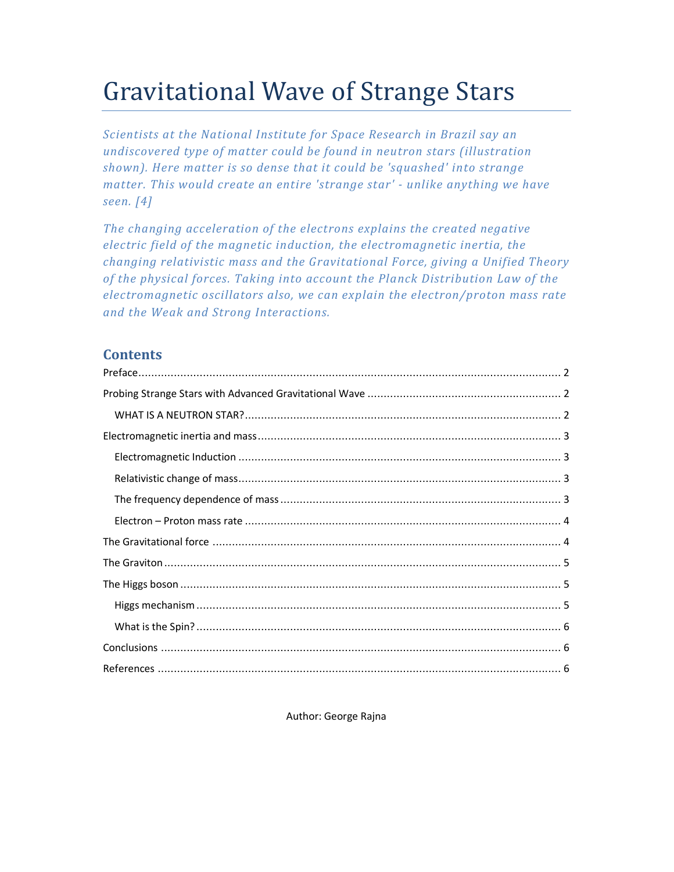# Gravitational Wave of Strange Stars

*Scientists at the National Institute for Space Research in Brazil say an undiscovered type of matter could be found in neutron stars (illustration shown). Here matter is so dense that it could be 'squashed' into strange matter. This would create an entire 'strange star' - unlike anything we have seen. [4]* 

*The changing acceleration of the electrons explains the created negative electric field of the magnetic induction, the electromagnetic inertia, the changing relativistic mass and the Gravitational Force, giving a Unified Theory of the physical forces. Taking into account the Planck Distribution Law of the electromagnetic oscillators also, we can explain the electron/proton mass rate and the Weak and Strong Interactions.* 

# **Contents**

Author: George Rajna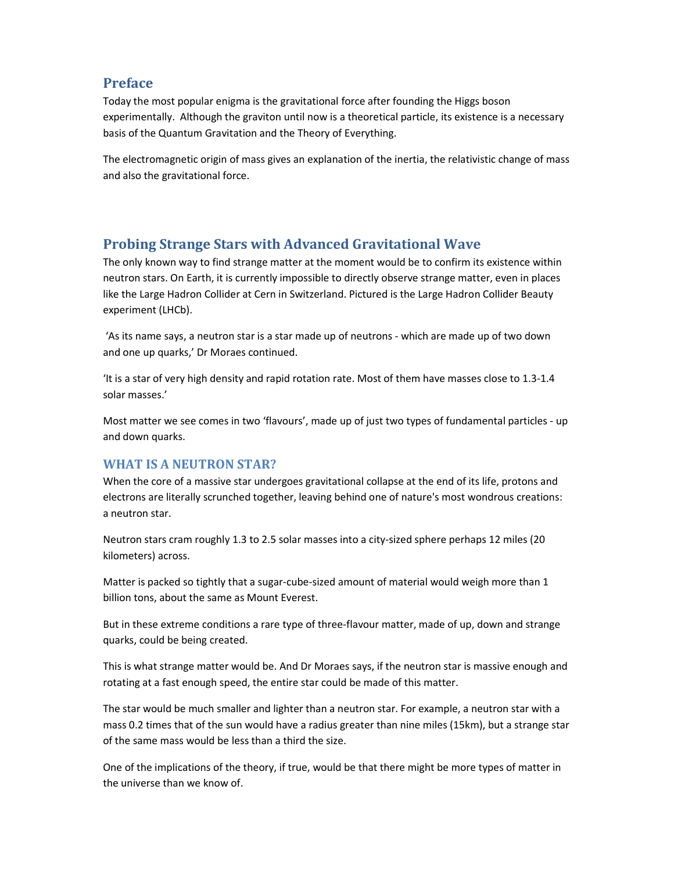## **Preface**

Today the most popular enigma is the gravitational force after founding the Higgs boson experimentally. Although the graviton until now is a theoretical particle, its existence is a necessary basis of the Quantum Gravitation and the Theory of Everything.

The electromagnetic origin of mass gives an explanation of the inertia, the relativistic change of mass and also the gravitational force.

# **Probing Strange Stars with Advanced Gravitational Wave**

The only known way to find strange matter at the moment would be to confirm its existence within neutron stars. On Earth, it is currently impossible to directly observe strange matter, even in places like the Large Hadron Collider at Cern in Switzerland. Pictured is the Large Hadron Collider Beauty experiment (LHCb).

 'As its name says, a neutron star is a star made up of neutrons - which are made up of two down and one up quarks,' Dr Moraes continued.

'It is a star of very high density and rapid rotation rate. Most of them have masses close to 1.3-1.4 solar masses.'

Most matter we see comes in two 'flavours', made up of just two types of fundamental particles - up and down quarks.

## **WHAT IS A NEUTRON STAR?**

When the core of a massive star undergoes gravitational collapse at the end of its life, protons and electrons are literally scrunched together, leaving behind one of nature's most wondrous creations: a neutron star.

Neutron stars cram roughly 1.3 to 2.5 solar masses into a city-sized sphere perhaps 12 miles (20 kilometers) across.

Matter is packed so tightly that a sugar-cube-sized amount of material would weigh more than 1 billion tons, about the same as Mount Everest.

But in these extreme conditions a rare type of three-flavour matter, made of up, down and strange quarks, could be being created.

This is what strange matter would be. And Dr Moraes says, if the neutron star is massive enough and rotating at a fast enough speed, the entire star could be made of this matter.

The star would be much smaller and lighter than a neutron star. For example, a neutron star with a mass 0.2 times that of the sun would have a radius greater than nine miles (15km), but a strange star of the same mass would be less than a third the size.

One of the implications of the theory, if true, would be that there might be more types of matter in the universe than we know of.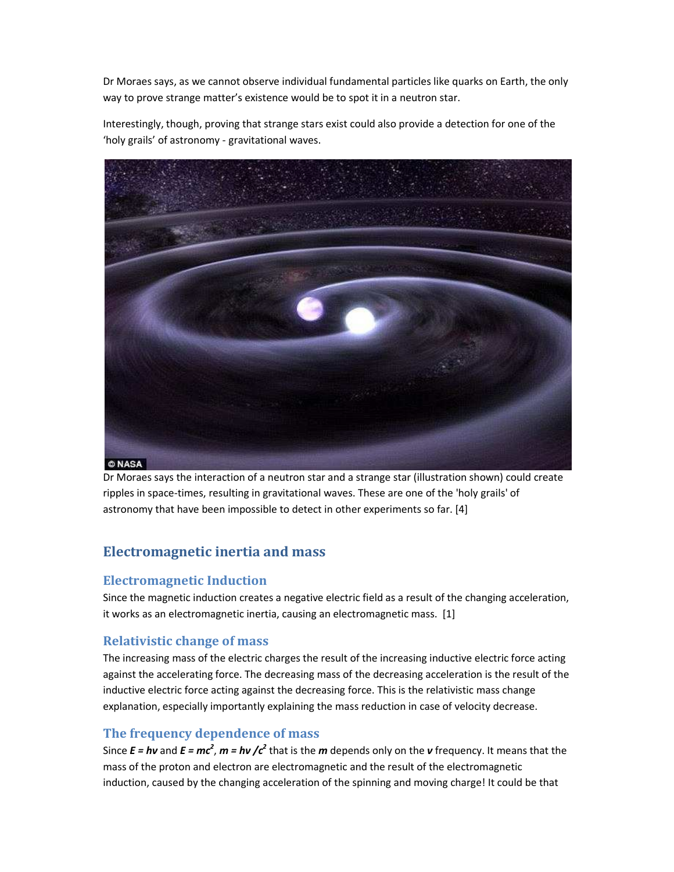Dr Moraes says, as we cannot observe individual fundamental particles like quarks on Earth, the only way to prove strange matter's existence would be to spot it in a neutron star.

Interestingly, though, proving that strange stars exist could also provide a detection for one of the 'holy grails' of astronomy - gravitational waves.



Dr Moraes says the interaction of a neutron star and a strange star (illustration shown) could create ripples in space-times, resulting in gravitational waves. These are one of the 'holy grails' of astronomy that have been impossible to detect in other experiments so far. [4]

# **Electromagnetic inertia and mass**

## **Electromagnetic Induction**

Since the magnetic induction creates a negative electric field as a result of the changing acceleration, it works as an electromagnetic inertia, causing an electromagnetic mass. [1]

## **Relativistic change of mass**

The increasing mass of the electric charges the result of the increasing inductive electric force acting against the accelerating force. The decreasing mass of the decreasing acceleration is the result of the inductive electric force acting against the decreasing force. This is the relativistic mass change explanation, especially importantly explaining the mass reduction in case of velocity decrease.

## **The frequency dependence of mass**

Since  $E = h\nu$  and  $E = mc^2$ ,  $m = h\nu$  / $c^2$  that is the *m* depends only on the *v* frequency. It means that the mass of the proton and electron are electromagnetic and the result of the electromagnetic induction, caused by the changing acceleration of the spinning and moving charge! It could be that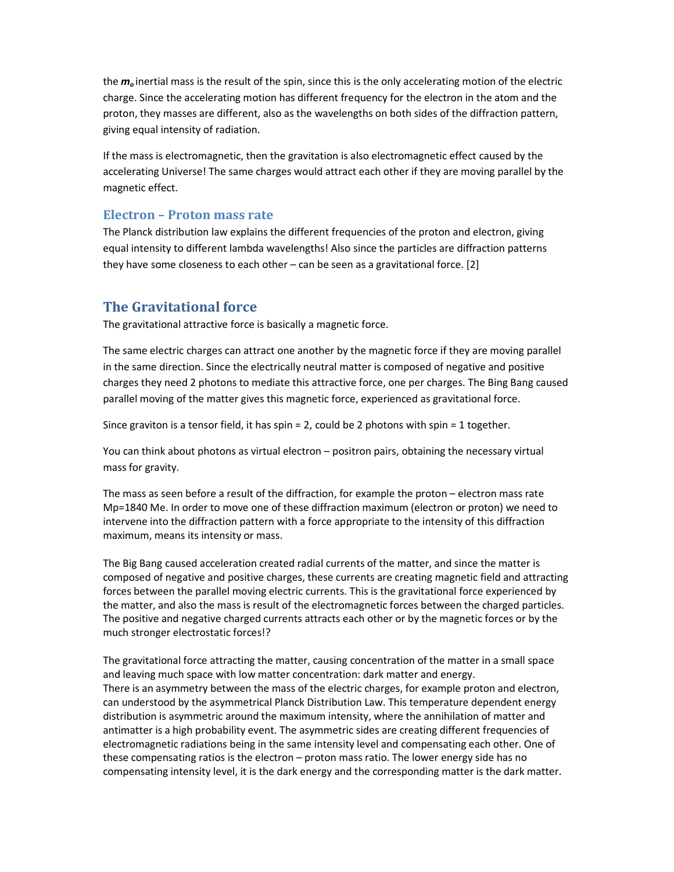the *m<sup>o</sup>* inertial mass is the result of the spin, since this is the only accelerating motion of the electric charge. Since the accelerating motion has different frequency for the electron in the atom and the proton, they masses are different, also as the wavelengths on both sides of the diffraction pattern, giving equal intensity of radiation.

If the mass is electromagnetic, then the gravitation is also electromagnetic effect caused by the accelerating Universe! The same charges would attract each other if they are moving parallel by the magnetic effect.

#### **Electron – Proton mass rate**

The Planck distribution law explains the different frequencies of the proton and electron, giving equal intensity to different lambda wavelengths! Also since the particles are diffraction patterns they have some closeness to each other – can be seen as a gravitational force. [2]

## **The Gravitational force**

The gravitational attractive force is basically a magnetic force.

The same electric charges can attract one another by the magnetic force if they are moving parallel in the same direction. Since the electrically neutral matter is composed of negative and positive charges they need 2 photons to mediate this attractive force, one per charges. The Bing Bang caused parallel moving of the matter gives this magnetic force, experienced as gravitational force.

Since graviton is a tensor field, it has spin = 2, could be 2 photons with spin = 1 together.

You can think about photons as virtual electron – positron pairs, obtaining the necessary virtual mass for gravity.

The mass as seen before a result of the diffraction, for example the proton – electron mass rate Mp=1840 Me. In order to move one of these diffraction maximum (electron or proton) we need to intervene into the diffraction pattern with a force appropriate to the intensity of this diffraction maximum, means its intensity or mass.

The Big Bang caused acceleration created radial currents of the matter, and since the matter is composed of negative and positive charges, these currents are creating magnetic field and attracting forces between the parallel moving electric currents. This is the gravitational force experienced by the matter, and also the mass is result of the electromagnetic forces between the charged particles. The positive and negative charged currents attracts each other or by the magnetic forces or by the much stronger electrostatic forces!?

The gravitational force attracting the matter, causing concentration of the matter in a small space and leaving much space with low matter concentration: dark matter and energy. There is an asymmetry between the mass of the electric charges, for example proton and electron, can understood by the asymmetrical Planck Distribution Law. This temperature dependent energy distribution is asymmetric around the maximum intensity, where the annihilation of matter and antimatter is a high probability event. The asymmetric sides are creating different frequencies of electromagnetic radiations being in the same intensity level and compensating each other. One of these compensating ratios is the electron – proton mass ratio. The lower energy side has no compensating intensity level, it is the dark energy and the corresponding matter is the dark matter.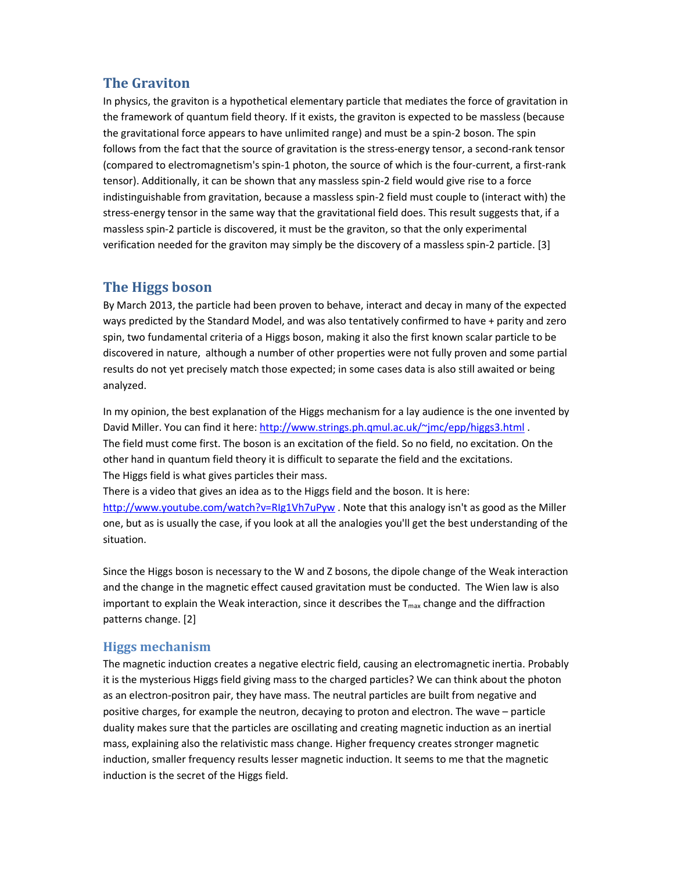# **The Graviton**

In physics, the graviton is a hypothetical elementary particle that mediates the force of gravitation in the framework of quantum field theory. If it exists, the graviton is expected to be massless (because the gravitational force appears to have unlimited range) and must be a spin-2 boson. The spin follows from the fact that the source of gravitation is the stress-energy tensor, a second-rank tensor (compared to electromagnetism's spin-1 photon, the source of which is the four-current, a first-rank tensor). Additionally, it can be shown that any massless spin-2 field would give rise to a force indistinguishable from gravitation, because a massless spin-2 field must couple to (interact with) the stress-energy tensor in the same way that the gravitational field does. This result suggests that, if a massless spin-2 particle is discovered, it must be the graviton, so that the only experimental verification needed for the graviton may simply be the discovery of a massless spin-2 particle. [3]

## **The Higgs boson**

By March 2013, the particle had been proven to behave, interact and decay in many of the expected ways predicted by the Standard Model, and was also tentatively confirmed to have + parity and zero spin, two fundamental criteria of a Higgs boson, making it also the first known scalar particle to be discovered in nature, although a number of other properties were not fully proven and some partial results do not yet precisely match those expected; in some cases data is also still awaited or being analyzed.

In my opinion, the best explanation of the Higgs mechanism for a lay audience is the one invented by David Miller. You can find it here: http://www.strings.ph.qmul.ac.uk/~jmc/epp/higgs3.html . The field must come first. The boson is an excitation of the field. So no field, no excitation. On the other hand in quantum field theory it is difficult to separate the field and the excitations. The Higgs field is what gives particles their mass.

There is a video that gives an idea as to the Higgs field and the boson. It is here: http://www.youtube.com/watch?v=RIg1Vh7uPyw . Note that this analogy isn't as good as the Miller one, but as is usually the case, if you look at all the analogies you'll get the best understanding of the situation.

Since the Higgs boson is necessary to the W and Z bosons, the dipole change of the Weak interaction and the change in the magnetic effect caused gravitation must be conducted. The Wien law is also important to explain the Weak interaction, since it describes the  $T_{\text{max}}$  change and the diffraction patterns change. [2]

## **Higgs mechanism**

The magnetic induction creates a negative electric field, causing an electromagnetic inertia. Probably it is the mysterious Higgs field giving mass to the charged particles? We can think about the photon as an electron-positron pair, they have mass. The neutral particles are built from negative and positive charges, for example the neutron, decaying to proton and electron. The wave – particle duality makes sure that the particles are oscillating and creating magnetic induction as an inertial mass, explaining also the relativistic mass change. Higher frequency creates stronger magnetic induction, smaller frequency results lesser magnetic induction. It seems to me that the magnetic induction is the secret of the Higgs field.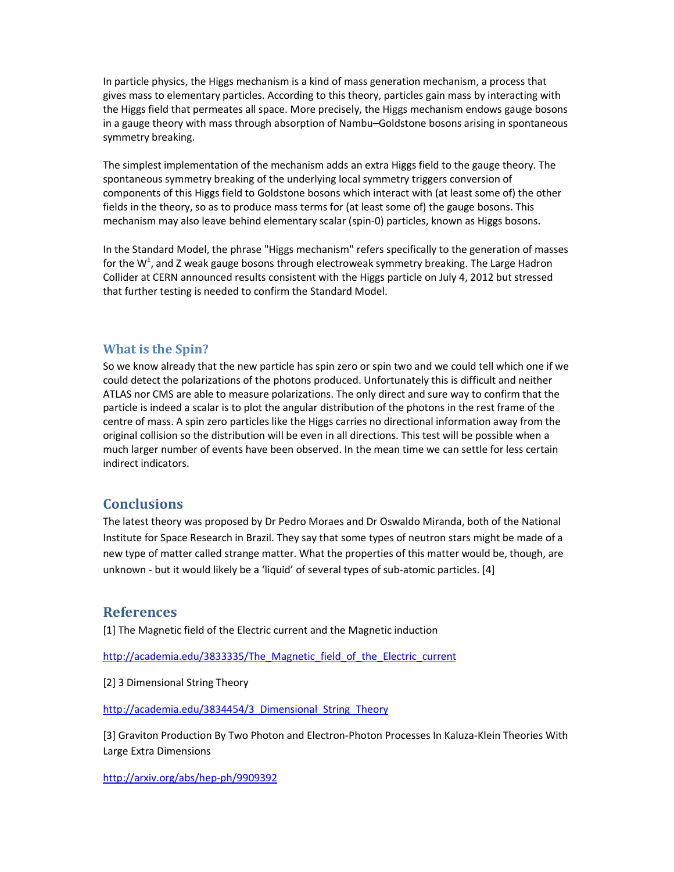In particle physics, the Higgs mechanism is a kind of mass generation mechanism, a process that gives mass to elementary particles. According to this theory, particles gain mass by interacting with the Higgs field that permeates all space. More precisely, the Higgs mechanism endows gauge bosons in a gauge theory with mass through absorption of Nambu–Goldstone bosons arising in spontaneous symmetry breaking.

The simplest implementation of the mechanism adds an extra Higgs field to the gauge theory. The spontaneous symmetry breaking of the underlying local symmetry triggers conversion of components of this Higgs field to Goldstone bosons which interact with (at least some of) the other fields in the theory, so as to produce mass terms for (at least some of) the gauge bosons. This mechanism may also leave behind elementary scalar (spin-0) particles, known as Higgs bosons.

In the Standard Model, the phrase "Higgs mechanism" refers specifically to the generation of masses for the W<sup>±</sup>, and Z weak gauge bosons through electroweak symmetry breaking. The Large Hadron Collider at CERN announced results consistent with the Higgs particle on July 4, 2012 but stressed that further testing is needed to confirm the Standard Model.

#### **What is the Spin?**

So we know already that the new particle has spin zero or spin two and we could tell which one if we could detect the polarizations of the photons produced. Unfortunately this is difficult and neither ATLAS nor CMS are able to measure polarizations. The only direct and sure way to confirm that the particle is indeed a scalar is to plot the angular distribution of the photons in the rest frame of the centre of mass. A spin zero particles like the Higgs carries no directional information away from the original collision so the distribution will be even in all directions. This test will be possible when a much larger number of events have been observed. In the mean time we can settle for less certain indirect indicators.

## **Conclusions**

The latest theory was proposed by Dr Pedro Moraes and Dr Oswaldo Miranda, both of the National Institute for Space Research in Brazil. They say that some types of neutron stars might be made of a new type of matter called strange matter. What the properties of this matter would be, though, are unknown - but it would likely be a 'liquid' of several types of sub-atomic particles. [4]

### **References**

[1] The Magnetic field of the Electric current and the Magnetic induction

http://academia.edu/3833335/The\_Magnetic\_field\_of\_the\_Electric\_current

[2] 3 Dimensional String Theory

http://academia.edu/3834454/3\_Dimensional\_String\_Theory

[3] Graviton Production By Two Photon and Electron-Photon Processes In Kaluza-Klein Theories With Large Extra Dimensions

http://arxiv.org/abs/hep-ph/9909392